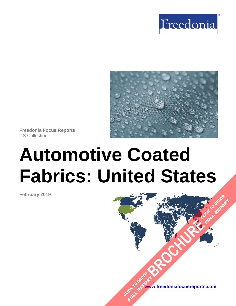



**Freedonia Focus Reports** US Collection

# **Automotive Coated Fabrics: United States**

**February 2019**

**[www.freedoniafocusreports.com](https://www.freedoniafocusreports.com/redirect.asp?progid=89534&url=/)** CLICK TO ORDER **FULL REPORT** 

**[BROCHURE](https://www.freedoniafocusreports.com/Automotive-Coated-Fabrics-United-States-FF85037/?progid=89541) CLICK TO ORDER** 

**FULL REPORT**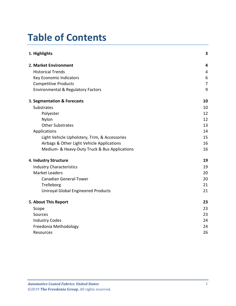# **Table of Contents**

| 1. Highlights                                 | $\overline{\mathbf{3}}$ |
|-----------------------------------------------|-------------------------|
| 2. Market Environment                         | 4                       |
| <b>Historical Trends</b>                      | 4                       |
| Key Economic Indicators                       | 6                       |
| <b>Competitive Products</b>                   | $\overline{7}$          |
| <b>Environmental &amp; Regulatory Factors</b> | 9                       |
| 3. Segmentation & Forecasts                   | 10                      |
| <b>Substrates</b>                             | 10                      |
| Polyester                                     | 12                      |
| Nylon                                         | 12                      |
| <b>Other Substrates</b>                       | 13                      |
| Applications                                  | 14                      |
| Light Vehicle Upholstery, Trim, & Accessories | 15                      |
| Airbags & Other Light Vehicle Applications    | 16                      |
| Medium- & Heavy-Duty Truck & Bus Applications | 16                      |
| 4. Industry Structure                         | 19                      |
| <b>Industry Characteristics</b>               | 19                      |
| <b>Market Leaders</b>                         | 20                      |
| <b>Canadian General-Tower</b>                 | 20                      |
| Trelleborg                                    | 21                      |
| <b>Uniroyal Global Engineered Products</b>    | 21                      |
| 5. About This Report                          | 23                      |
| Scope                                         | 23                      |
| Sources                                       | 23                      |
| <b>Industry Codes</b>                         | 24                      |
| Freedonia Methodology                         | 24                      |
| Resources                                     | 26                      |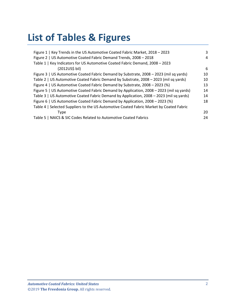# **List of Tables & Figures**

| Figure 1   Key Trends in the US Automotive Coated Fabric Market, 2018 - 2023             | 3  |
|------------------------------------------------------------------------------------------|----|
| Figure 2   US Automotive Coated Fabric Demand Trends, 2008 - 2018                        | 4  |
| Table 1   Key Indicators for US Automotive Coated Fabric Demand, 2008 - 2023             |    |
| (2012US\$ bil)                                                                           | 6  |
| Figure 3   US Automotive Coated Fabric Demand by Substrate, 2008 – 2023 (mil sq yards)   | 10 |
| Table 2   US Automotive Coated Fabric Demand by Substrate, 2008 - 2023 (mil sq yards)    | 10 |
| Figure 4   US Automotive Coated Fabric Demand by Substrate, 2008 – 2023 (%)              | 13 |
| Figure 5   US Automotive Coated Fabric Demand by Application, 2008 - 2023 (mil sq yards) | 14 |
| Table 3   US Automotive Coated Fabric Demand by Application, 2008 - 2023 (mil sq yards)  | 14 |
| Figure 6   US Automotive Coated Fabric Demand by Application, 2008 - 2023 (%)            | 18 |
| Table 4   Selected Suppliers to the US Automotive Coated Fabric Market by Coated Fabric  |    |
| Type                                                                                     | 20 |
| Table 5   NAICS & SIC Codes Related to Automotive Coated Fabrics                         | 24 |
|                                                                                          |    |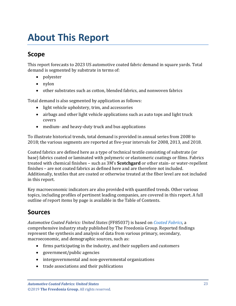# <span id="page-3-0"></span>**About This Report**

## <span id="page-3-1"></span>**Scope**

This report forecasts to 2023 US automotive coated fabric demand in square yards. Total demand is segmented by substrate in terms of:

- polyester
- nylon
- other substrates such as cotton, blended fabrics, and nonwoven fabrics

Total demand is also segmented by application as follows:

- light vehicle upholstery, trim, and accessories
- airbags and other light vehicle applications such as auto tops and light truck covers
- medium- and heavy-duty truck and bus applications

To illustrate historical trends, total demand is provided in annual series from 2008 to 2018; the various segments are reported at five-year intervals for 2008, 2013, and 2018.

Coated fabrics are defined here as a type of technical textile consisting of substrate (or base) fabrics coated or laminated with polymeric or elastomeric coatings or films. Fabrics treated with chemical finishes – such as 3M's **Scotchgard** or other stain- or water-repellent finishes – are not coated fabrics as defined here and are therefore not included. Additionally, textiles that are coated or otherwise treated at the fiber level are not included in this report.

Key macroeconomic indicators are also provided with quantified trends. Other various topics, including profiles of pertinent leading companies, are covered in this report. A full outline of report items by page is available in the Table of Contents.

# <span id="page-3-2"></span>**Sources**

*Automotive Coated Fabrics: United States* (FF85037) is based on *[Coated Fabrics,](http://www.freedoniagroup.com/DocumentDetails.aspx?ReferrerId=FL-FOCUS&studyid=3703)* a comprehensive industry study published by The Freedonia Group. Reported findings represent the synthesis and analysis of data from various primary, secondary, macroeconomic, and demographic sources, such as:

- firms participating in the industry, and their suppliers and customers
- government/public agencies
- intergovernmental and non-governmental organizations
- trade associations and their publications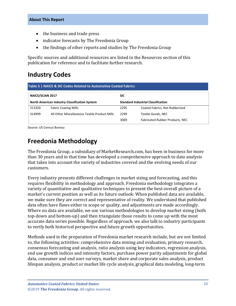- the business and trade press
- indicator forecasts by The Freedonia Group
- the findings of other reports and studies by The Freedonia Group

Specific sources and additional resources are listed in the Resources section of this publication for reference and to facilitate further research.

# <span id="page-4-0"></span>**Industry Codes**

<span id="page-4-2"></span>

| Table 5   NAICS & SIC Codes Related to Automotive Coated Fabrics |                                                      |                                           |                                 |  |
|------------------------------------------------------------------|------------------------------------------------------|-------------------------------------------|---------------------------------|--|
| NAICS/SCIAN 2017                                                 |                                                      | <b>SIC</b>                                |                                 |  |
|                                                                  | <b>North American Industry Classification System</b> | <b>Standard Industrial Classification</b> |                                 |  |
| 313320                                                           | <b>Fabric Coating Mills</b>                          | 2295                                      | Coated Fabrics, Not Rubberized  |  |
| 314999                                                           | All Other Miscellaneous Textile Product Mills        | 2299                                      | Textile Goods, NEC              |  |
|                                                                  |                                                      | 3069                                      | Fabricated Rubber Products, NEC |  |

Source: US Census Bureau

## <span id="page-4-1"></span>**Freedonia Methodology**

The Freedonia Group, a subsidiary of MarketResearch.com, has been in business for more than 30 years and in that time has developed a comprehensive approach to data analysis that takes into account the variety of industries covered and the evolving needs of our customers.

Every industry presents different challenges in market sizing and forecasting, and this requires flexibility in methodology and approach. Freedonia methodology integrates a variety of quantitative and qualitative techniques to present the best overall picture of a market's current position as well as its future outlook: When published data are available, we make sure they are correct and representative of reality. We understand that published data often have flaws either in scope or quality, and adjustments are made accordingly. Where no data are available, we use various methodologies to develop market sizing (both top-down and bottom-up) and then triangulate those results to come up with the most accurate data series possible. Regardless of approach, we also talk to industry participants to verify both historical perspective and future growth opportunities.

Methods used in the preparation of Freedonia market research include, but are not limited to, the following activities: comprehensive data mining and evaluation, primary research, consensus forecasting and analysis, ratio analysis using key indicators, regression analysis, end use growth indices and intensity factors, purchase power parity adjustments for global data, consumer and end user surveys, market share and corporate sales analysis, product lifespan analysis, product or market life cycle analysis, graphical data modeling, long-term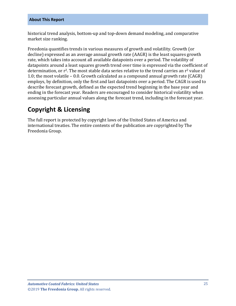historical trend analysis, bottom-up and top-down demand modeling, and comparative market size ranking.

Freedonia quantifies trends in various measures of growth and volatility. Growth (or decline) expressed as an average annual growth rate (AAGR) is the least squares growth rate, which takes into account all available datapoints over a period. The volatility of datapoints around a least squares growth trend over time is expressed via the coefficient of determination, or  $r^2$ . The most stable data series relative to the trend carries an  $r^2$  value of 1.0; the most volatile – 0.0. Growth calculated as a compound annual growth rate (CAGR) employs, by definition, only the first and last datapoints over a period. The CAGR is used to describe forecast growth, defined as the expected trend beginning in the base year and ending in the forecast year. Readers are encouraged to consider historical volatility when assessing particular annual values along the forecast trend, including in the forecast year.

# **Copyright & Licensing**

The full report is protected by copyright laws of the United States of America and international treaties. The entire contents of the publication are copyrighted by The Freedonia Group.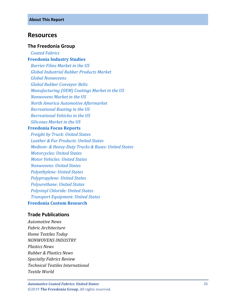### <span id="page-6-0"></span>**Resources**

#### **The Freedonia Group**

 *[Coated Fabrics](http://www.freedoniagroup.com/DocumentDetails.aspx?ReferrerId=FL-FOCUS&studyid=3703)* **[Freedonia Industry Studies](http://www.freedoniagroup.com/Home.aspx?ReferrerId=FL-Focus)**

 *[Barrier Films Market in the US](https://www.freedoniagroup.com/DocumentDetails.aspx?ReferrerId=FL-FOCUS&StudyId=3513) [Global Industrial Rubber Products Market](https://www.freedoniagroup.com/DocumentDetails.aspx?ReferrerId=FL-FOCUS&StudyId=3605) [Global Nonwovens](https://www.freedoniagroup.com/DocumentDetails.aspx?ReferrerId=FL-FOCUS&StudyId=3693) [Global Rubber Conveyor Belts](https://www.freedoniagroup.com/DocumentDetails.aspx?ReferrerId=FL-FOCUS&StudyId=3689) [Manufacturing \(OEM\) Coatings Market in the US](https://www.freedoniagroup.com/DocumentDetails.aspx?ReferrerId=FL-FOCUS&StudyId=3492) [Nonwovens Market in the US](https://www.freedoniagroup.com/DocumentDetails.aspx?ReferrerId=FL-FOCUS&StudyId=3554) [North America Automotive Aftermarket](https://www.freedoniagroup.com/DocumentDetails.aspx?ReferrerId=FL-FOCUS&StudyId=3577) [Recreational Boating in the US](https://www.freedoniagroup.com/DocumentDetails.aspx?ReferrerId=FL-FOCUS&StudyId=3610) [Recreational Vehicles in the US](https://www.freedoniagroup.com/DocumentDetails.aspx?ReferrerId=FL-FOCUS&StudyId=3624) [Silicones Market in the US](https://www.freedoniagroup.com/DocumentDetails.aspx?ReferrerId=FL-FOCUS&StudyId=3608)*

#### **[Freedonia Focus Reports](https://www.freedoniafocusreports.com/redirect.asp?progid=89534&url=/)**

 *[Freight by Truck: United States](https://www.freedoniafocusreports.com/Freight-by-Truck-United-States-FF85026/?progid=89534) [Leather & Fur Products: United States](https://www.freedoniafocusreports.com/Leather-Fur-Products-United-States-FF15015/?progid=89534) Medium- [& Heavy-Duty Trucks & Buses: United States](https://www.freedoniafocusreports.com/Medium-Heavy-Duty-Trucks-Buses-United-States-FF85014/?progid=89534) [Motorcycles: United States](https://www.freedoniafocusreports.com/Motorcycles-United-States-FF85016/?progid=89534) [Motor Vehicles: United States](https://www.freedoniafocusreports.com/Motor-Vehicles-United-States-FF85029/?progid=89534) [Nonwovens: United States](https://www.freedoniafocusreports.com/Nonwovens-United-States-FF15018/?progid=89534) [Polyethylene: United States](https://www.freedoniafocusreports.com/Polyethylene-United-States-FF55017/?progid=89534) [Polypropylene: United States](https://www.freedoniafocusreports.com/Polypropylene-United-States-FF55018/?progid=89534) [Polyurethane: United States](https://www.freedoniafocusreports.com/Polyurethane-United-States-FF55019/?progid=89534) [Polyvinyl Chloride: United States](https://www.freedoniafocusreports.com/Polyvinyl-Chloride-United-States-FF55020/?progid=89534) [Transport Equipment: United States](https://www.freedoniafocusreports.com/Transport-Equipment-United-States-FF85030/?progid=89534)* **[Freedonia Custom Research](http://www.freedoniagroup.com/CustomResearch.aspx?ReferrerId=FL-Focus)**

#### **Trade Publications**

*Automotive News Fabric Architecture Home Textiles Today NONWOVENS INDUSTRY Plastics News Rubber & Plastics News Specialty Fabrics Review Technical Textiles International Textile World*